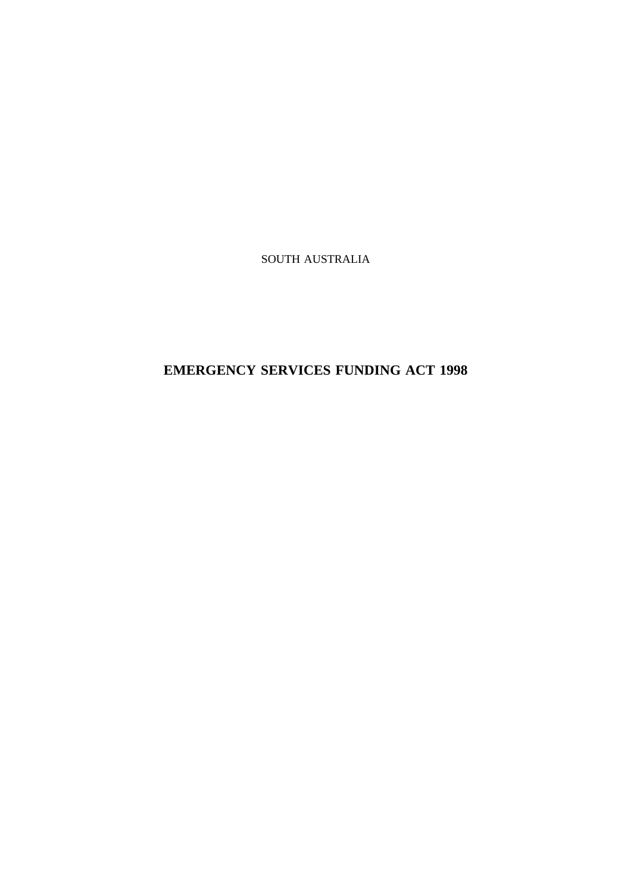SOUTH AUSTRALIA

**EMERGENCY SERVICES FUNDING ACT 1998**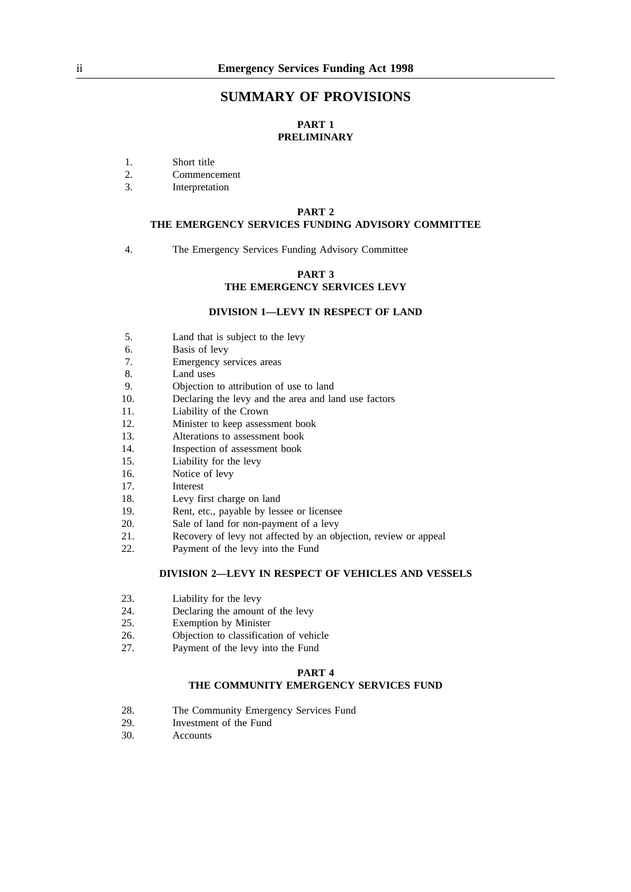## **SUMMARY OF PROVISIONS**

## **PART 1 PRELIMINARY**

- 1. Short title
- 2. Commencement
- 3. Interpretation

#### **PART 2**

#### **THE EMERGENCY SERVICES FUNDING ADVISORY COMMITTEE**

4. The Emergency Services Funding Advisory Committee

#### **PART 3 THE EMERGENCY SERVICES LEVY**

#### **DIVISION 1—LEVY IN RESPECT OF LAND**

- 5. Land that is subject to the levy
- 6. Basis of levy
- 7. Emergency services areas
- 8. Land uses
- 9. Objection to attribution of use to land
- 10. Declaring the levy and the area and land use factors
- 11. Liability of the Crown<br>12. Minister to keep assess
- Minister to keep assessment book
- 13. Alterations to assessment book
- 14. Inspection of assessment book
- 15. Liability for the levy
- 16. Notice of levy
- 17. Interest
- 18. Levy first charge on land
- 19. Rent, etc., payable by lessee or licensee
- 20. Sale of land for non-payment of a levy
- 21. Recovery of levy not affected by an objection, review or appeal
- 22. Payment of the levy into the Fund

## **DIVISION 2—LEVY IN RESPECT OF VEHICLES AND VESSELS**

- 23. Liability for the levy
- 24. Declaring the amount of the levy<br>25. Exemption by Minister
- Exemption by Minister
- 26. **Objection to classification of vehicle**<br>27 Payment of the levy into the Fund
- Payment of the levy into the Fund

#### **PART 4**

## **THE COMMUNITY EMERGENCY SERVICES FUND**

- 28. The Community Emergency Services Fund
- 29. Investment of the Fund
- 30. Accounts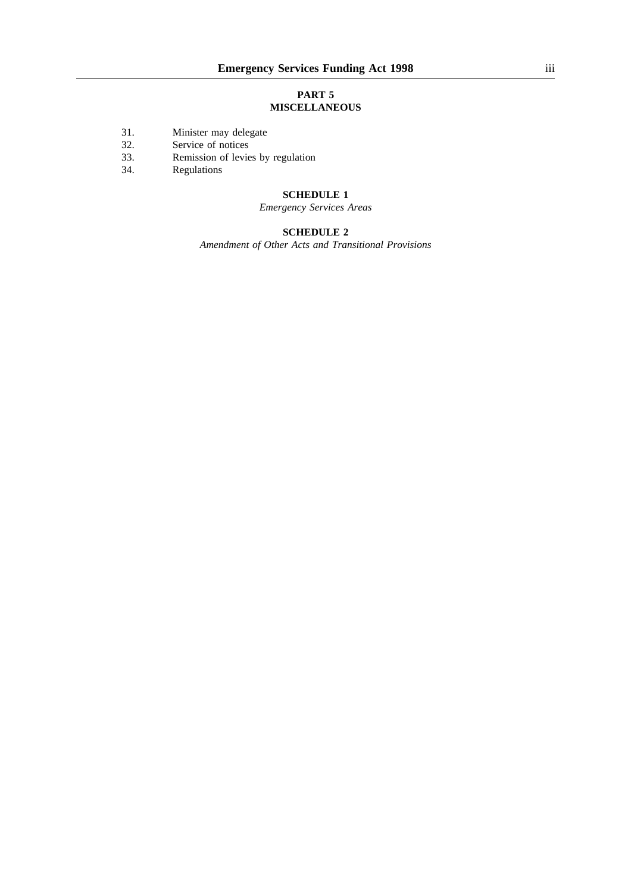## **PART 5 MISCELLANEOUS**

- 31. Minister may delegate<br>32. Service of notices
- Service of notices
- 33. Remission of levies by regulation<br>34. Regulations
- **Regulations**

## **SCHEDULE 1**

## *Emergency Services Areas*

## **SCHEDULE 2**

*Amendment of Other Acts and Transitional Provisions*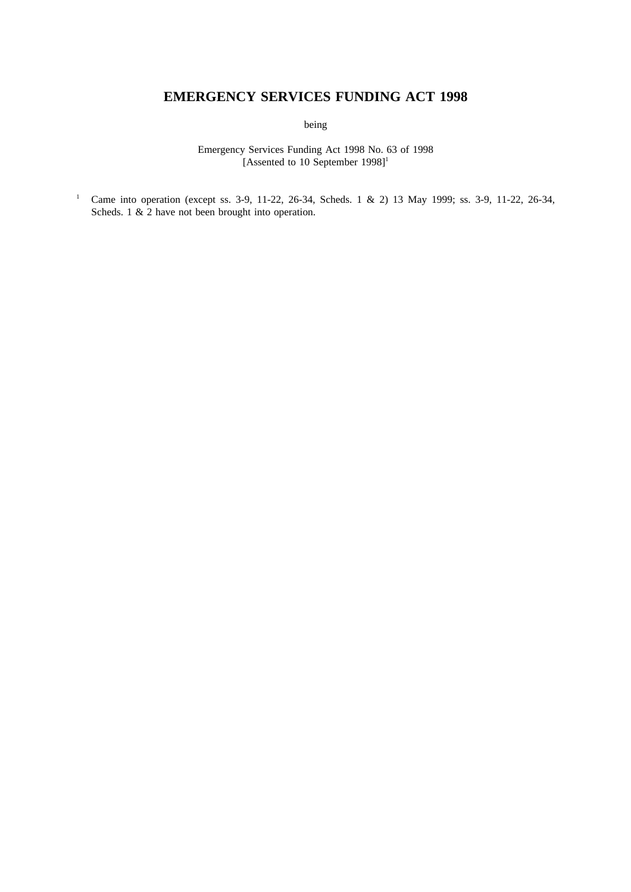# **EMERGENCY SERVICES FUNDING ACT 1998**

being

Emergency Services Funding Act 1998 No. 63 of 1998 [Assented to 10 September  $1998$ ]<sup>1</sup>

<sup>1</sup> Came into operation (except ss. 3-9, 11-22, 26-34, Scheds. 1 & 2) 13 May 1999; ss. 3-9, 11-22, 26-34, Scheds. 1  $&$  2 have not been brought into operation.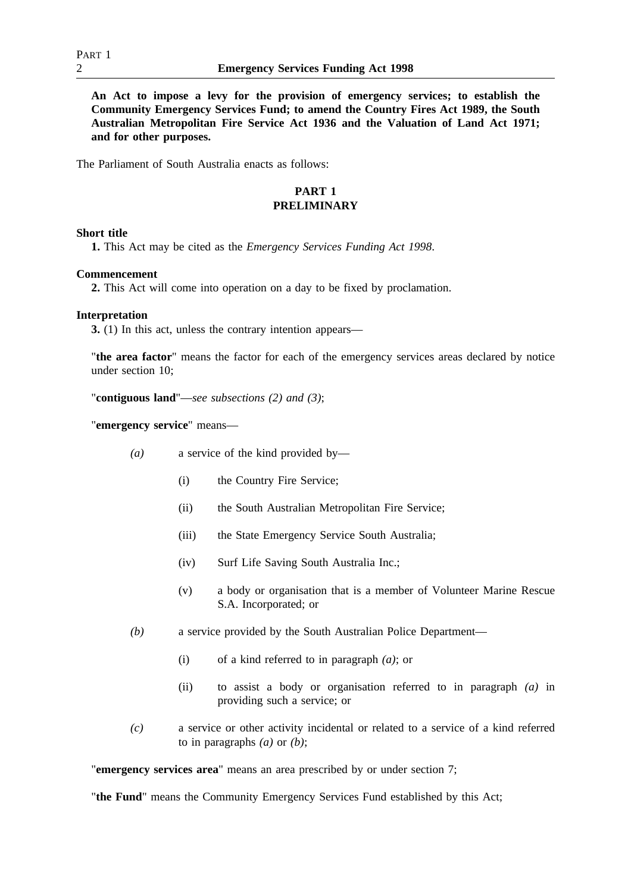**An Act to impose a levy for the provision of emergency services; to establish the Community Emergency Services Fund; to amend the Country Fires Act 1989, the South Australian Metropolitan Fire Service Act 1936 and the Valuation of Land Act 1971; and for other purposes.**

The Parliament of South Australia enacts as follows:

## **PART 1 PRELIMINARY**

## **Short title**

**1.** This Act may be cited as the *Emergency Services Funding Act 1998*.

## **Commencement**

**2.** This Act will come into operation on a day to be fixed by proclamation.

## **Interpretation**

**3.** (1) In this act, unless the contrary intention appears—

"**the area factor**" means the factor for each of the emergency services areas declared by notice under section 10;

"**contiguous land**"—*see subsections (2) and (3)*;

"**emergency service**" means—

- *(a)* a service of the kind provided by—
	- (i) the Country Fire Service;
	- (ii) the South Australian Metropolitan Fire Service;
	- (iii) the State Emergency Service South Australia;
	- (iv) Surf Life Saving South Australia Inc.;
	- (v) a body or organisation that is a member of Volunteer Marine Rescue S.A. Incorporated; or
- *(b)* a service provided by the South Australian Police Department—
	- (i) of a kind referred to in paragraph *(a)*; or
	- (ii) to assist a body or organisation referred to in paragraph *(a)* in providing such a service; or
- *(c)* a service or other activity incidental or related to a service of a kind referred to in paragraphs *(a)* or *(b)*;

"**emergency services area**" means an area prescribed by or under section 7;

"**the Fund**" means the Community Emergency Services Fund established by this Act;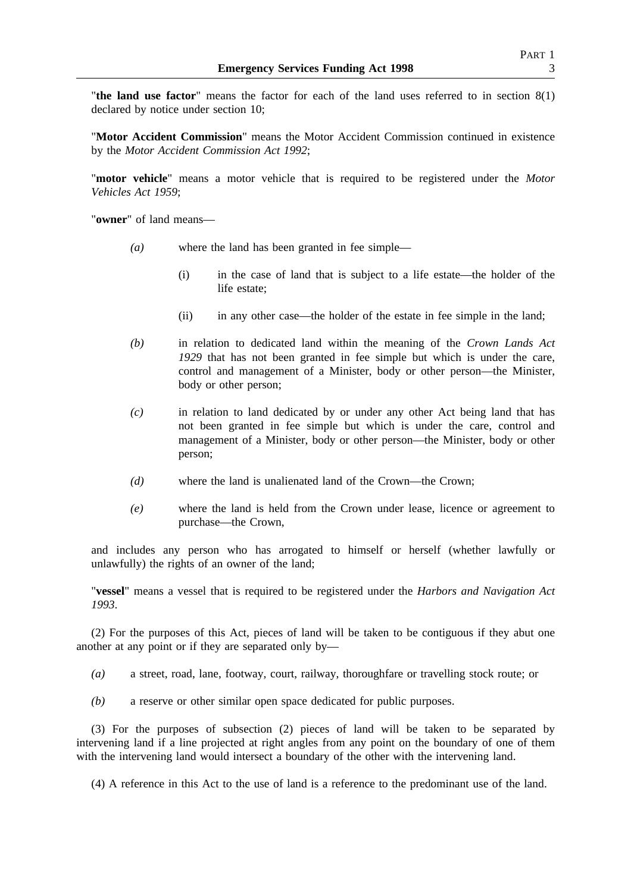"**the land use factor**" means the factor for each of the land uses referred to in section 8(1) declared by notice under section 10;

"**Motor Accident Commission**" means the Motor Accident Commission continued in existence by the *Motor Accident Commission Act 1992*;

"**motor vehicle**" means a motor vehicle that is required to be registered under the *Motor Vehicles Act 1959*;

"**owner**" of land means—

- *(a)* where the land has been granted in fee simple—
	- (i) in the case of land that is subject to a life estate—the holder of the life estate;
	- (ii) in any other case—the holder of the estate in fee simple in the land;
- *(b)* in relation to dedicated land within the meaning of the *Crown Lands Act 1929* that has not been granted in fee simple but which is under the care, control and management of a Minister, body or other person—the Minister, body or other person;
- *(c)* in relation to land dedicated by or under any other Act being land that has not been granted in fee simple but which is under the care, control and management of a Minister, body or other person—the Minister, body or other person;
- *(d)* where the land is unalienated land of the Crown—the Crown;
- *(e)* where the land is held from the Crown under lease, licence or agreement to purchase—the Crown,

and includes any person who has arrogated to himself or herself (whether lawfully or unlawfully) the rights of an owner of the land;

"**vessel**" means a vessel that is required to be registered under the *Harbors and Navigation Act 1993*.

(2) For the purposes of this Act, pieces of land will be taken to be contiguous if they abut one another at any point or if they are separated only by—

- *(a)* a street, road, lane, footway, court, railway, thoroughfare or travelling stock route; or
- *(b)* a reserve or other similar open space dedicated for public purposes.

(3) For the purposes of subsection (2) pieces of land will be taken to be separated by intervening land if a line projected at right angles from any point on the boundary of one of them with the intervening land would intersect a boundary of the other with the intervening land.

(4) A reference in this Act to the use of land is a reference to the predominant use of the land.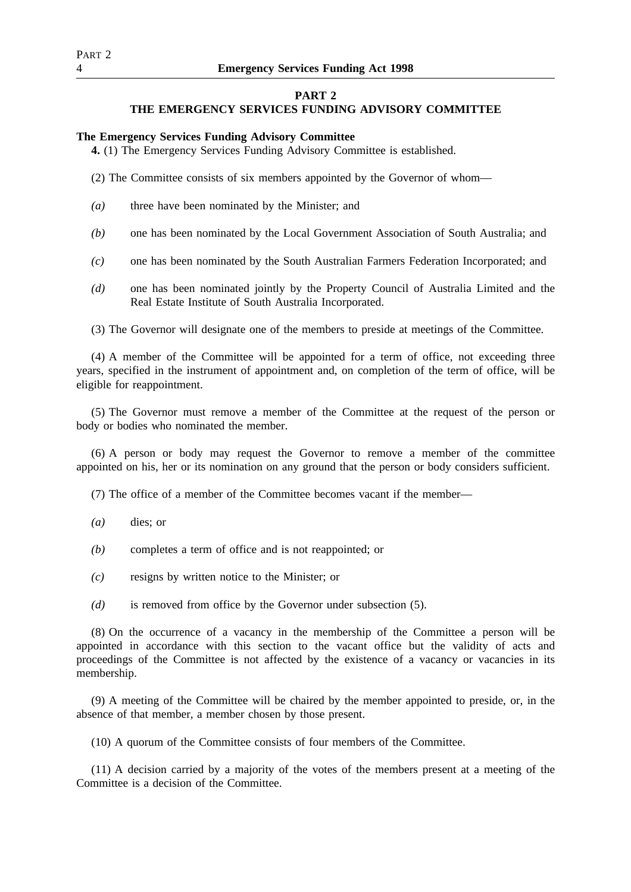## **PART 2**

# **THE EMERGENCY SERVICES FUNDING ADVISORY COMMITTEE**

## **The Emergency Services Funding Advisory Committee**

**4.** (1) The Emergency Services Funding Advisory Committee is established.

(2) The Committee consists of six members appointed by the Governor of whom—

- *(a)* three have been nominated by the Minister; and
- *(b)* one has been nominated by the Local Government Association of South Australia; and
- *(c)* one has been nominated by the South Australian Farmers Federation Incorporated; and
- *(d)* one has been nominated jointly by the Property Council of Australia Limited and the Real Estate Institute of South Australia Incorporated.
- (3) The Governor will designate one of the members to preside at meetings of the Committee.

(4) A member of the Committee will be appointed for a term of office, not exceeding three years, specified in the instrument of appointment and, on completion of the term of office, will be eligible for reappointment.

(5) The Governor must remove a member of the Committee at the request of the person or body or bodies who nominated the member.

(6) A person or body may request the Governor to remove a member of the committee appointed on his, her or its nomination on any ground that the person or body considers sufficient.

(7) The office of a member of the Committee becomes vacant if the member—

- *(a)* dies; or
- *(b)* completes a term of office and is not reappointed; or
- *(c)* resigns by written notice to the Minister; or
- *(d)* is removed from office by the Governor under subsection (5).

(8) On the occurrence of a vacancy in the membership of the Committee a person will be appointed in accordance with this section to the vacant office but the validity of acts and proceedings of the Committee is not affected by the existence of a vacancy or vacancies in its membership.

(9) A meeting of the Committee will be chaired by the member appointed to preside, or, in the absence of that member, a member chosen by those present.

(10) A quorum of the Committee consists of four members of the Committee.

(11) A decision carried by a majority of the votes of the members present at a meeting of the Committee is a decision of the Committee.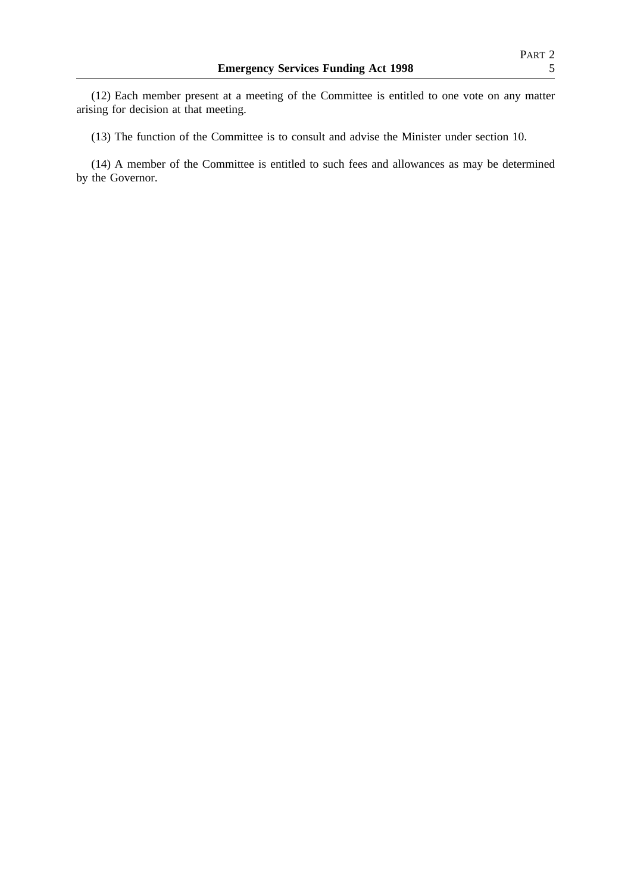(12) Each member present at a meeting of the Committee is entitled to one vote on any matter arising for decision at that meeting.

(13) The function of the Committee is to consult and advise the Minister under section 10.

(14) A member of the Committee is entitled to such fees and allowances as may be determined by the Governor.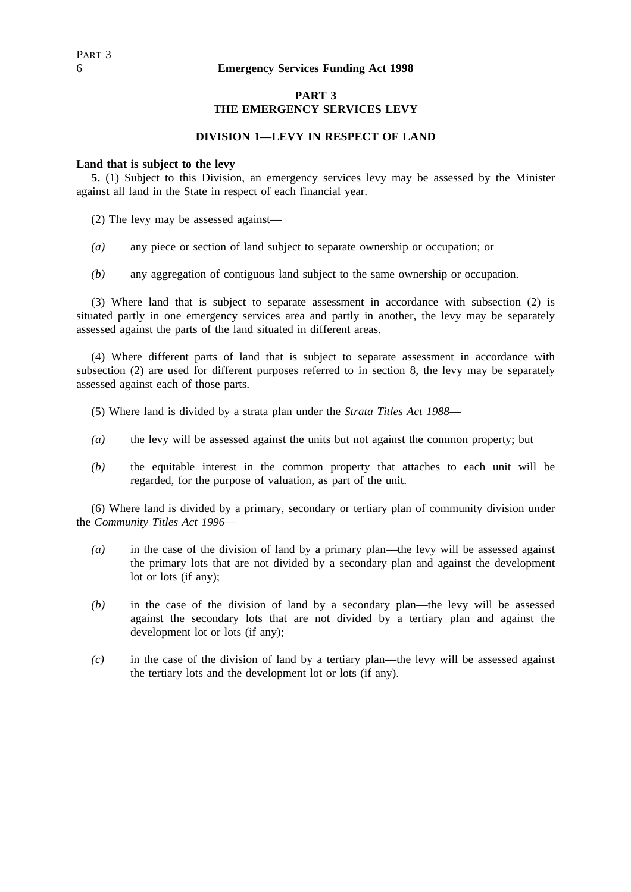# **PART 3**

# **THE EMERGENCY SERVICES LEVY**

## **DIVISION 1—LEVY IN RESPECT OF LAND**

## **Land that is subject to the levy**

**5.** (1) Subject to this Division, an emergency services levy may be assessed by the Minister against all land in the State in respect of each financial year.

(2) The levy may be assessed against—

- *(a)* any piece or section of land subject to separate ownership or occupation; or
- *(b)* any aggregation of contiguous land subject to the same ownership or occupation.

(3) Where land that is subject to separate assessment in accordance with subsection (2) is situated partly in one emergency services area and partly in another, the levy may be separately assessed against the parts of the land situated in different areas.

(4) Where different parts of land that is subject to separate assessment in accordance with subsection (2) are used for different purposes referred to in section 8, the levy may be separately assessed against each of those parts.

- (5) Where land is divided by a strata plan under the *Strata Titles Act 1988*—
- *(a)* the levy will be assessed against the units but not against the common property; but
- *(b)* the equitable interest in the common property that attaches to each unit will be regarded, for the purpose of valuation, as part of the unit.

(6) Where land is divided by a primary, secondary or tertiary plan of community division under the *Community Titles Act 1996*—

- *(a)* in the case of the division of land by a primary plan—the levy will be assessed against the primary lots that are not divided by a secondary plan and against the development lot or lots (if any);
- *(b)* in the case of the division of land by a secondary plan—the levy will be assessed against the secondary lots that are not divided by a tertiary plan and against the development lot or lots (if any);
- *(c)* in the case of the division of land by a tertiary plan—the levy will be assessed against the tertiary lots and the development lot or lots (if any).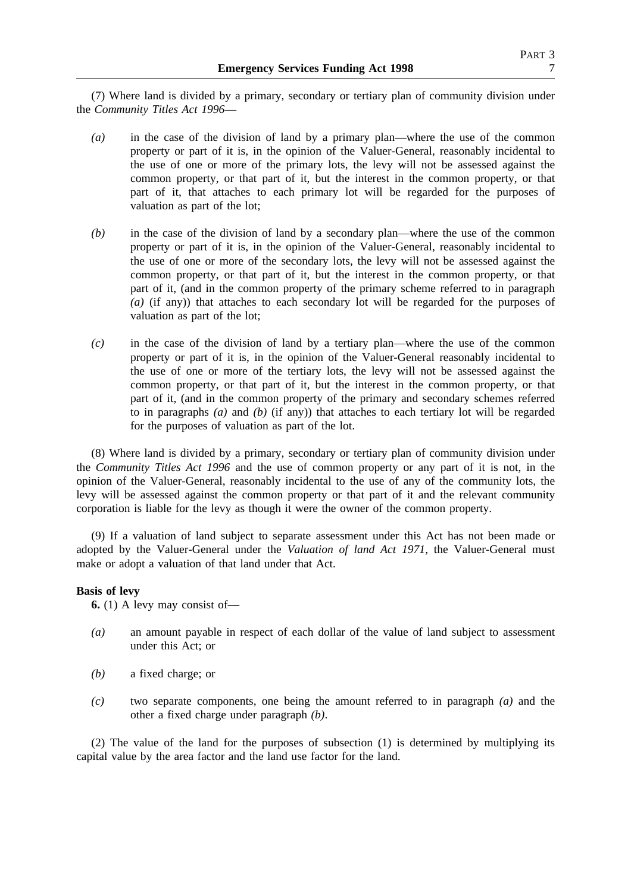(7) Where land is divided by a primary, secondary or tertiary plan of community division under the *Community Titles Act 1996*—

- *(a)* in the case of the division of land by a primary plan—where the use of the common property or part of it is, in the opinion of the Valuer-General, reasonably incidental to the use of one or more of the primary lots, the levy will not be assessed against the common property, or that part of it, but the interest in the common property, or that part of it, that attaches to each primary lot will be regarded for the purposes of valuation as part of the lot;
- *(b)* in the case of the division of land by a secondary plan—where the use of the common property or part of it is, in the opinion of the Valuer-General, reasonably incidental to the use of one or more of the secondary lots, the levy will not be assessed against the common property, or that part of it, but the interest in the common property, or that part of it, (and in the common property of the primary scheme referred to in paragraph *(a)* (if any)) that attaches to each secondary lot will be regarded for the purposes of valuation as part of the lot;
- *(c)* in the case of the division of land by a tertiary plan—where the use of the common property or part of it is, in the opinion of the Valuer-General reasonably incidental to the use of one or more of the tertiary lots, the levy will not be assessed against the common property, or that part of it, but the interest in the common property, or that part of it, (and in the common property of the primary and secondary schemes referred to in paragraphs *(a)* and *(b)* (if any)) that attaches to each tertiary lot will be regarded for the purposes of valuation as part of the lot.

(8) Where land is divided by a primary, secondary or tertiary plan of community division under the *Community Titles Act 1996* and the use of common property or any part of it is not, in the opinion of the Valuer-General, reasonably incidental to the use of any of the community lots, the levy will be assessed against the common property or that part of it and the relevant community corporation is liable for the levy as though it were the owner of the common property.

(9) If a valuation of land subject to separate assessment under this Act has not been made or adopted by the Valuer-General under the *Valuation of land Act 1971*, the Valuer-General must make or adopt a valuation of that land under that Act.

## **Basis of levy**

**6.** (1) A levy may consist of—

- *(a)* an amount payable in respect of each dollar of the value of land subject to assessment under this Act; or
- *(b)* a fixed charge; or
- *(c)* two separate components, one being the amount referred to in paragraph *(a)* and the other a fixed charge under paragraph *(b)*.

(2) The value of the land for the purposes of subsection (1) is determined by multiplying its capital value by the area factor and the land use factor for the land.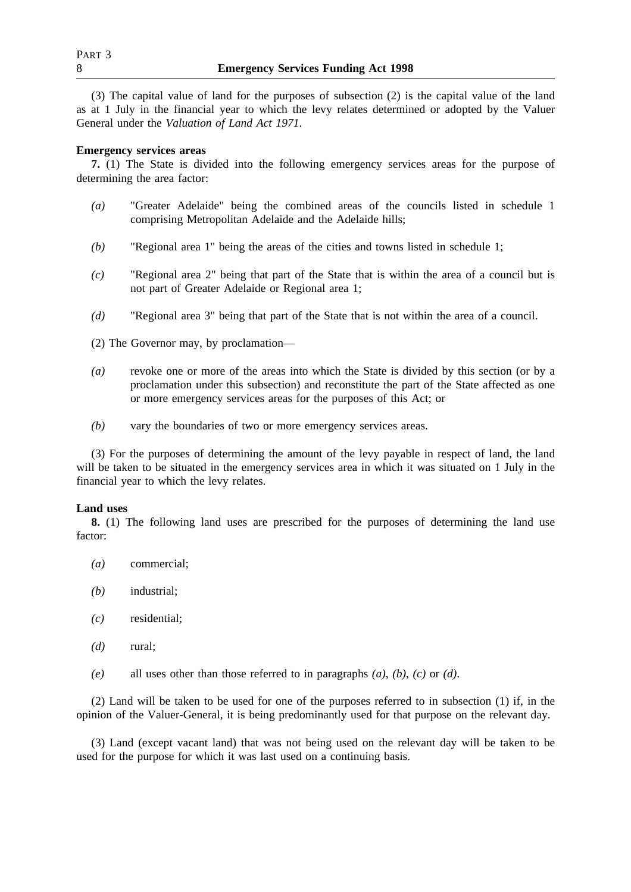(3) The capital value of land for the purposes of subsection (2) is the capital value of the land as at 1 July in the financial year to which the levy relates determined or adopted by the Valuer General under the *Valuation of Land Act 1971*.

## **Emergency services areas**

**7.** (1) The State is divided into the following emergency services areas for the purpose of determining the area factor:

- *(a)* "Greater Adelaide" being the combined areas of the councils listed in schedule 1 comprising Metropolitan Adelaide and the Adelaide hills;
- *(b)* "Regional area 1" being the areas of the cities and towns listed in schedule 1;
- *(c)* "Regional area 2" being that part of the State that is within the area of a council but is not part of Greater Adelaide or Regional area 1;
- *(d)* "Regional area 3" being that part of the State that is not within the area of a council.
- (2) The Governor may, by proclamation—
- *(a)* revoke one or more of the areas into which the State is divided by this section (or by a proclamation under this subsection) and reconstitute the part of the State affected as one or more emergency services areas for the purposes of this Act; or
- *(b)* vary the boundaries of two or more emergency services areas.

(3) For the purposes of determining the amount of the levy payable in respect of land, the land will be taken to be situated in the emergency services area in which it was situated on 1 July in the financial year to which the levy relates.

## **Land uses**

**8.** (1) The following land uses are prescribed for the purposes of determining the land use factor:

- *(a)* commercial;
- *(b)* industrial;
- *(c)* residential;
- *(d)* rural;
- *(e)* all uses other than those referred to in paragraphs *(a)*, *(b)*, *(c)* or *(d)*.

(2) Land will be taken to be used for one of the purposes referred to in subsection (1) if, in the opinion of the Valuer-General, it is being predominantly used for that purpose on the relevant day.

(3) Land (except vacant land) that was not being used on the relevant day will be taken to be used for the purpose for which it was last used on a continuing basis.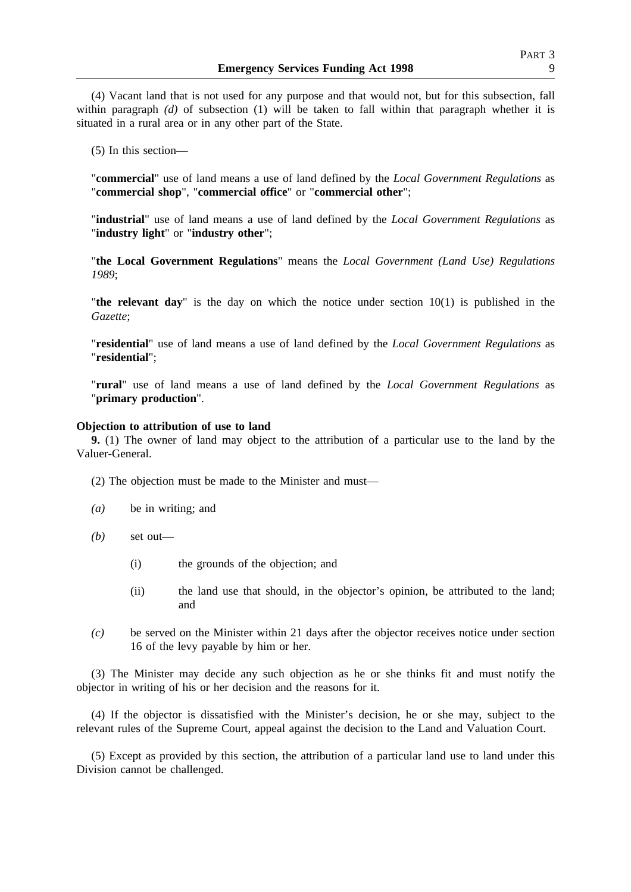(4) Vacant land that is not used for any purpose and that would not, but for this subsection, fall within paragraph *(d)* of subsection (1) will be taken to fall within that paragraph whether it is situated in a rural area or in any other part of the State.

(5) In this section—

"**commercial**" use of land means a use of land defined by the *Local Government Regulations* as "**commercial shop**", "**commercial office**" or "**commercial other**";

"**industrial**" use of land means a use of land defined by the *Local Government Regulations* as "**industry light**" or "**industry other**";

"**the Local Government Regulations**" means the *Local Government (Land Use) Regulations 1989*;

"**the relevant day**" is the day on which the notice under section 10(1) is published in the *Gazette*;

"**residential**" use of land means a use of land defined by the *Local Government Regulations* as "**residential**";

"**rural**" use of land means a use of land defined by the *Local Government Regulations* as "**primary production**".

## **Objection to attribution of use to land**

**9.** (1) The owner of land may object to the attribution of a particular use to the land by the Valuer-General.

(2) The objection must be made to the Minister and must—

- *(a)* be in writing; and
- *(b)* set out—
	- (i) the grounds of the objection; and
	- (ii) the land use that should, in the objector's opinion, be attributed to the land; and
- *(c)* be served on the Minister within 21 days after the objector receives notice under section 16 of the levy payable by him or her.

(3) The Minister may decide any such objection as he or she thinks fit and must notify the objector in writing of his or her decision and the reasons for it.

(4) If the objector is dissatisfied with the Minister's decision, he or she may, subject to the relevant rules of the Supreme Court, appeal against the decision to the Land and Valuation Court.

(5) Except as provided by this section, the attribution of a particular land use to land under this Division cannot be challenged.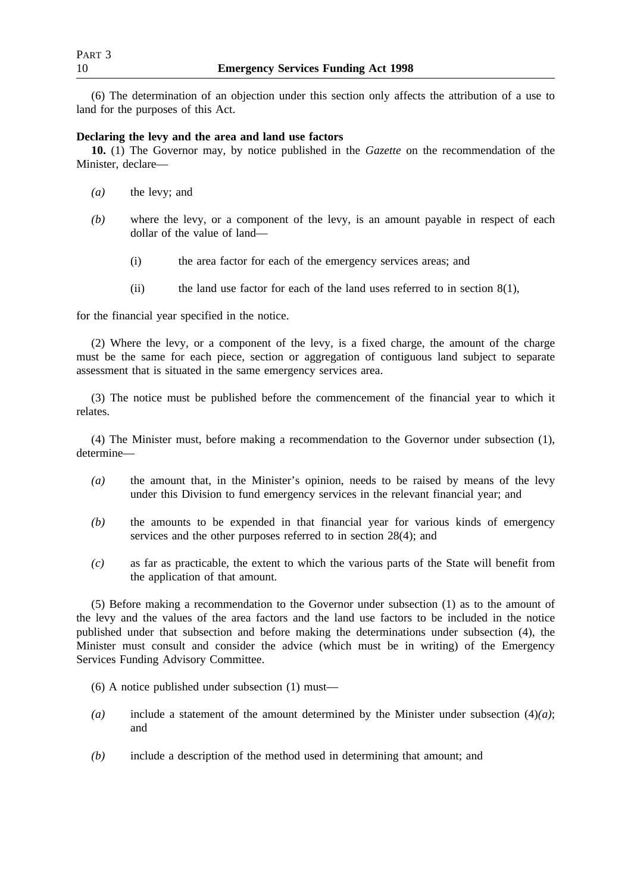(6) The determination of an objection under this section only affects the attribution of a use to land for the purposes of this Act.

## **Declaring the levy and the area and land use factors**

**10.** (1) The Governor may, by notice published in the *Gazette* on the recommendation of the Minister, declare—

- *(a)* the levy; and
- *(b)* where the levy, or a component of the levy, is an amount payable in respect of each dollar of the value of land—
	- (i) the area factor for each of the emergency services areas; and
	- (ii) the land use factor for each of the land uses referred to in section  $8(1)$ ,

for the financial year specified in the notice.

(2) Where the levy, or a component of the levy, is a fixed charge, the amount of the charge must be the same for each piece, section or aggregation of contiguous land subject to separate assessment that is situated in the same emergency services area.

(3) The notice must be published before the commencement of the financial year to which it relates.

(4) The Minister must, before making a recommendation to the Governor under subsection (1), determine—

- *(a)* the amount that, in the Minister's opinion, needs to be raised by means of the levy under this Division to fund emergency services in the relevant financial year; and
- *(b)* the amounts to be expended in that financial year for various kinds of emergency services and the other purposes referred to in section 28(4); and
- *(c)* as far as practicable, the extent to which the various parts of the State will benefit from the application of that amount.

(5) Before making a recommendation to the Governor under subsection (1) as to the amount of the levy and the values of the area factors and the land use factors to be included in the notice published under that subsection and before making the determinations under subsection (4), the Minister must consult and consider the advice (which must be in writing) of the Emergency Services Funding Advisory Committee.

(6) A notice published under subsection (1) must—

- *(a)* include a statement of the amount determined by the Minister under subsection (4)*(a)*; and
- *(b)* include a description of the method used in determining that amount; and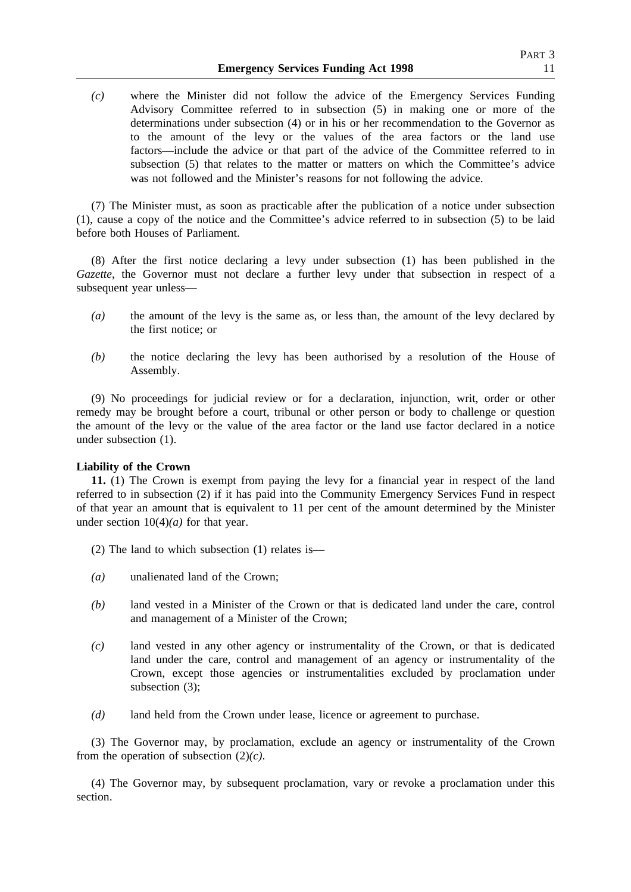*(c)* where the Minister did not follow the advice of the Emergency Services Funding Advisory Committee referred to in subsection (5) in making one or more of the determinations under subsection (4) or in his or her recommendation to the Governor as to the amount of the levy or the values of the area factors or the land use factors—include the advice or that part of the advice of the Committee referred to in subsection (5) that relates to the matter or matters on which the Committee's advice was not followed and the Minister's reasons for not following the advice.

(7) The Minister must, as soon as practicable after the publication of a notice under subsection (1), cause a copy of the notice and the Committee's advice referred to in subsection (5) to be laid before both Houses of Parliament.

(8) After the first notice declaring a levy under subsection (1) has been published in the *Gazette*, the Governor must not declare a further levy under that subsection in respect of a subsequent year unless—

- *(a)* the amount of the levy is the same as, or less than, the amount of the levy declared by the first notice; or
- *(b)* the notice declaring the levy has been authorised by a resolution of the House of Assembly.

(9) No proceedings for judicial review or for a declaration, injunction, writ, order or other remedy may be brought before a court, tribunal or other person or body to challenge or question the amount of the levy or the value of the area factor or the land use factor declared in a notice under subsection (1).

## **Liability of the Crown**

**11.** (1) The Crown is exempt from paying the levy for a financial year in respect of the land referred to in subsection (2) if it has paid into the Community Emergency Services Fund in respect of that year an amount that is equivalent to 11 per cent of the amount determined by the Minister under section 10(4)*(a)* for that year.

- (2) The land to which subsection (1) relates is—
- *(a)* unalienated land of the Crown;
- *(b)* land vested in a Minister of the Crown or that is dedicated land under the care, control and management of a Minister of the Crown;
- *(c)* land vested in any other agency or instrumentality of the Crown, or that is dedicated land under the care, control and management of an agency or instrumentality of the Crown, except those agencies or instrumentalities excluded by proclamation under subsection (3);
- *(d)* land held from the Crown under lease, licence or agreement to purchase.

(3) The Governor may, by proclamation, exclude an agency or instrumentality of the Crown from the operation of subsection (2)*(c)*.

(4) The Governor may, by subsequent proclamation, vary or revoke a proclamation under this section.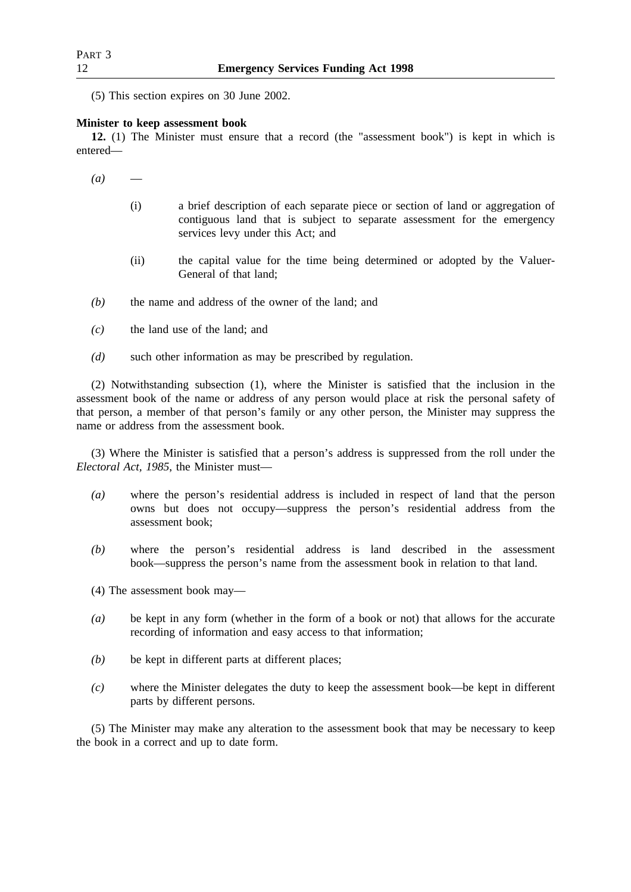(5) This section expires on 30 June 2002.

## **Minister to keep assessment book**

**12.** (1) The Minister must ensure that a record (the "assessment book") is kept in which is entered—

- $(a)$ 
	- (i) a brief description of each separate piece or section of land or aggregation of contiguous land that is subject to separate assessment for the emergency services levy under this Act; and
	- (ii) the capital value for the time being determined or adopted by the Valuer-General of that land;
- *(b)* the name and address of the owner of the land; and
- *(c)* the land use of the land; and
- *(d)* such other information as may be prescribed by regulation.

(2) Notwithstanding subsection (1), where the Minister is satisfied that the inclusion in the assessment book of the name or address of any person would place at risk the personal safety of that person, a member of that person's family or any other person, the Minister may suppress the name or address from the assessment book.

(3) Where the Minister is satisfied that a person's address is suppressed from the roll under the *Electoral Act, 1985*, the Minister must—

- *(a)* where the person's residential address is included in respect of land that the person owns but does not occupy—suppress the person's residential address from the assessment book;
- *(b)* where the person's residential address is land described in the assessment book—suppress the person's name from the assessment book in relation to that land.
- (4) The assessment book may—
- *(a)* be kept in any form (whether in the form of a book or not) that allows for the accurate recording of information and easy access to that information;
- *(b)* be kept in different parts at different places;
- *(c)* where the Minister delegates the duty to keep the assessment book—be kept in different parts by different persons.

(5) The Minister may make any alteration to the assessment book that may be necessary to keep the book in a correct and up to date form.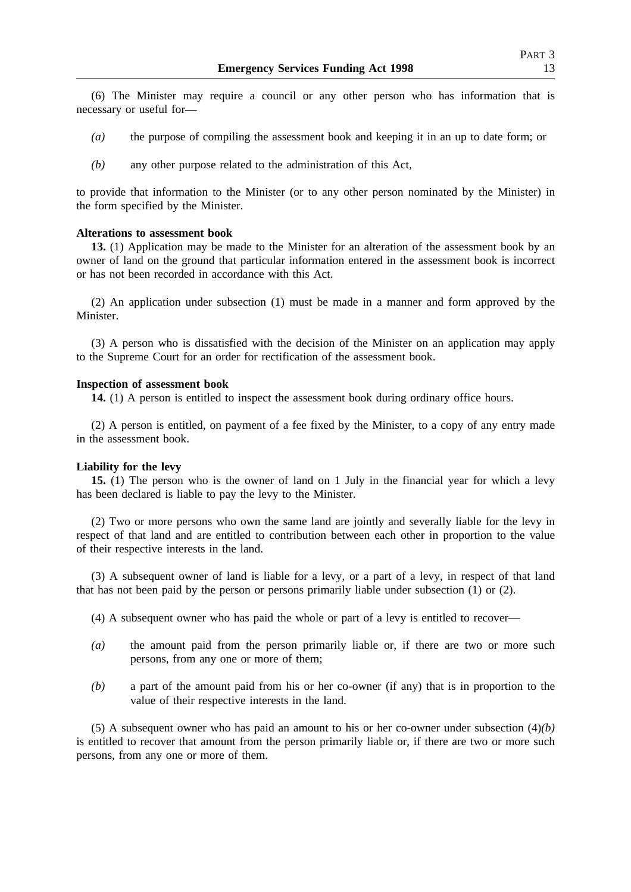(6) The Minister may require a council or any other person who has information that is necessary or useful for—

- *(a)* the purpose of compiling the assessment book and keeping it in an up to date form; or
- *(b)* any other purpose related to the administration of this Act,

to provide that information to the Minister (or to any other person nominated by the Minister) in the form specified by the Minister.

### **Alterations to assessment book**

**13.** (1) Application may be made to the Minister for an alteration of the assessment book by an owner of land on the ground that particular information entered in the assessment book is incorrect or has not been recorded in accordance with this Act.

(2) An application under subsection (1) must be made in a manner and form approved by the Minister.

(3) A person who is dissatisfied with the decision of the Minister on an application may apply to the Supreme Court for an order for rectification of the assessment book.

### **Inspection of assessment book**

**14.** (1) A person is entitled to inspect the assessment book during ordinary office hours.

(2) A person is entitled, on payment of a fee fixed by the Minister, to a copy of any entry made in the assessment book.

## **Liability for the levy**

**15.** (1) The person who is the owner of land on 1 July in the financial year for which a levy has been declared is liable to pay the levy to the Minister.

(2) Two or more persons who own the same land are jointly and severally liable for the levy in respect of that land and are entitled to contribution between each other in proportion to the value of their respective interests in the land.

(3) A subsequent owner of land is liable for a levy, or a part of a levy, in respect of that land that has not been paid by the person or persons primarily liable under subsection (1) or (2).

- (4) A subsequent owner who has paid the whole or part of a levy is entitled to recover—
- *(a)* the amount paid from the person primarily liable or, if there are two or more such persons, from any one or more of them;
- *(b)* a part of the amount paid from his or her co-owner (if any) that is in proportion to the value of their respective interests in the land.

(5) A subsequent owner who has paid an amount to his or her co-owner under subsection (4)*(b)* is entitled to recover that amount from the person primarily liable or, if there are two or more such persons, from any one or more of them.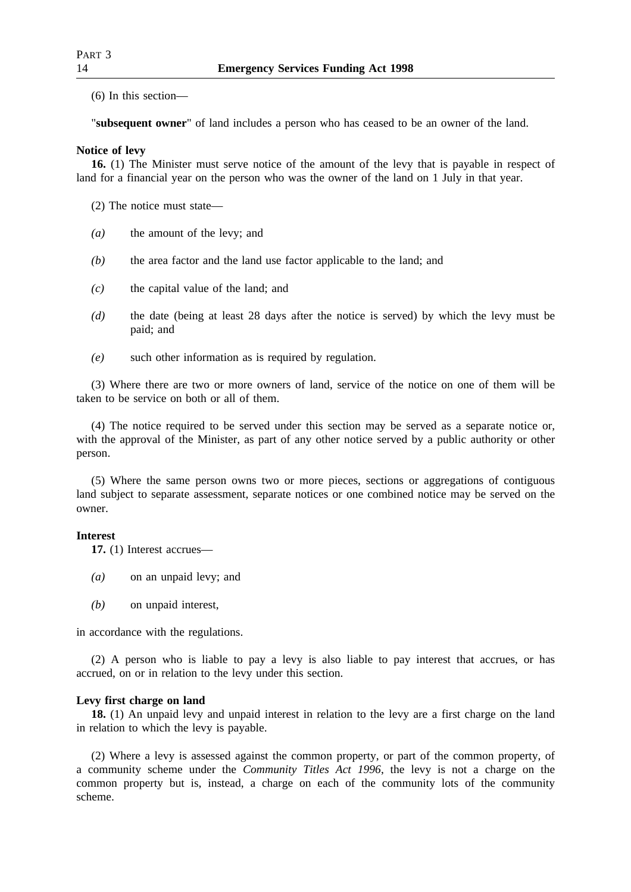(6) In this section—

"**subsequent owner**" of land includes a person who has ceased to be an owner of the land.

## **Notice of levy**

**16.** (1) The Minister must serve notice of the amount of the levy that is payable in respect of land for a financial year on the person who was the owner of the land on 1 July in that year.

- (2) The notice must state—
- *(a)* the amount of the levy; and
- *(b)* the area factor and the land use factor applicable to the land; and
- *(c)* the capital value of the land; and
- *(d)* the date (being at least 28 days after the notice is served) by which the levy must be paid; and
- *(e)* such other information as is required by regulation.

(3) Where there are two or more owners of land, service of the notice on one of them will be taken to be service on both or all of them.

(4) The notice required to be served under this section may be served as a separate notice or, with the approval of the Minister, as part of any other notice served by a public authority or other person.

(5) Where the same person owns two or more pieces, sections or aggregations of contiguous land subject to separate assessment, separate notices or one combined notice may be served on the owner.

## **Interest**

**17.** (1) Interest accrues—

- *(a)* on an unpaid levy; and
- *(b)* on unpaid interest,

in accordance with the regulations.

(2) A person who is liable to pay a levy is also liable to pay interest that accrues, or has accrued, on or in relation to the levy under this section.

## **Levy first charge on land**

**18.** (1) An unpaid levy and unpaid interest in relation to the levy are a first charge on the land in relation to which the levy is payable.

(2) Where a levy is assessed against the common property, or part of the common property, of a community scheme under the *Community Titles Act 1996*, the levy is not a charge on the common property but is, instead, a charge on each of the community lots of the community scheme.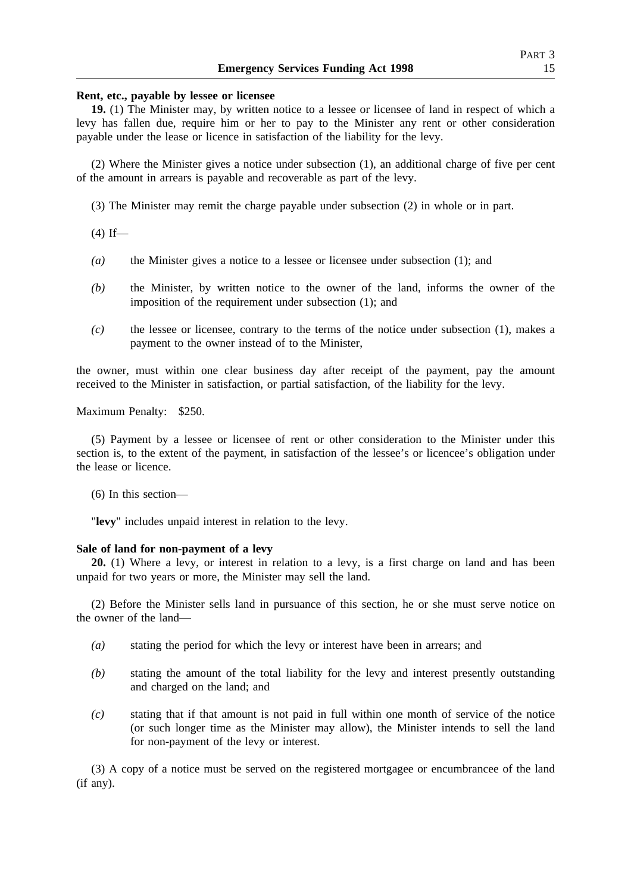#### **Rent, etc., payable by lessee or licensee**

**19.** (1) The Minister may, by written notice to a lessee or licensee of land in respect of which a levy has fallen due, require him or her to pay to the Minister any rent or other consideration payable under the lease or licence in satisfaction of the liability for the levy.

(2) Where the Minister gives a notice under subsection (1), an additional charge of five per cent of the amount in arrears is payable and recoverable as part of the levy.

(3) The Minister may remit the charge payable under subsection (2) in whole or in part.

 $(4)$  If—

- *(a)* the Minister gives a notice to a lessee or licensee under subsection (1); and
- *(b)* the Minister, by written notice to the owner of the land, informs the owner of the imposition of the requirement under subsection (1); and
- *(c)* the lessee or licensee, contrary to the terms of the notice under subsection (1), makes a payment to the owner instead of to the Minister,

the owner, must within one clear business day after receipt of the payment, pay the amount received to the Minister in satisfaction, or partial satisfaction, of the liability for the levy.

Maximum Penalty: \$250.

(5) Payment by a lessee or licensee of rent or other consideration to the Minister under this section is, to the extent of the payment, in satisfaction of the lessee's or licencee's obligation under the lease or licence.

(6) In this section—

"**levy**" includes unpaid interest in relation to the levy.

#### **Sale of land for non-payment of a levy**

**20.** (1) Where a levy, or interest in relation to a levy, is a first charge on land and has been unpaid for two years or more, the Minister may sell the land.

(2) Before the Minister sells land in pursuance of this section, he or she must serve notice on the owner of the land—

- *(a)* stating the period for which the levy or interest have been in arrears; and
- *(b)* stating the amount of the total liability for the levy and interest presently outstanding and charged on the land; and
- *(c)* stating that if that amount is not paid in full within one month of service of the notice (or such longer time as the Minister may allow), the Minister intends to sell the land for non-payment of the levy or interest.

(3) A copy of a notice must be served on the registered mortgagee or encumbrancee of the land (if any).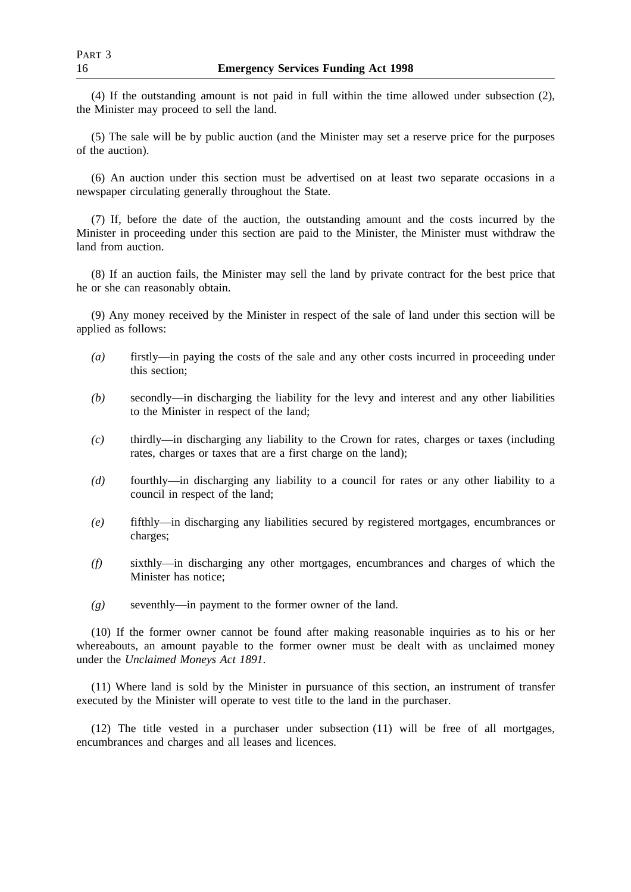(4) If the outstanding amount is not paid in full within the time allowed under subsection (2), the Minister may proceed to sell the land.

(5) The sale will be by public auction (and the Minister may set a reserve price for the purposes of the auction).

(6) An auction under this section must be advertised on at least two separate occasions in a newspaper circulating generally throughout the State.

(7) If, before the date of the auction, the outstanding amount and the costs incurred by the Minister in proceeding under this section are paid to the Minister, the Minister must withdraw the land from auction.

(8) If an auction fails, the Minister may sell the land by private contract for the best price that he or she can reasonably obtain.

(9) Any money received by the Minister in respect of the sale of land under this section will be applied as follows:

- *(a)* firstly—in paying the costs of the sale and any other costs incurred in proceeding under this section;
- *(b)* secondly—in discharging the liability for the levy and interest and any other liabilities to the Minister in respect of the land;
- *(c)* thirdly—in discharging any liability to the Crown for rates, charges or taxes (including rates, charges or taxes that are a first charge on the land);
- *(d)* fourthly—in discharging any liability to a council for rates or any other liability to a council in respect of the land;
- *(e)* fifthly—in discharging any liabilities secured by registered mortgages, encumbrances or charges;
- *(f)* sixthly—in discharging any other mortgages, encumbrances and charges of which the Minister has notice;
- *(g)* seventhly—in payment to the former owner of the land.

(10) If the former owner cannot be found after making reasonable inquiries as to his or her whereabouts, an amount payable to the former owner must be dealt with as unclaimed money under the *Unclaimed Moneys Act 1891*.

(11) Where land is sold by the Minister in pursuance of this section, an instrument of transfer executed by the Minister will operate to vest title to the land in the purchaser.

(12) The title vested in a purchaser under subsection (11) will be free of all mortgages, encumbrances and charges and all leases and licences.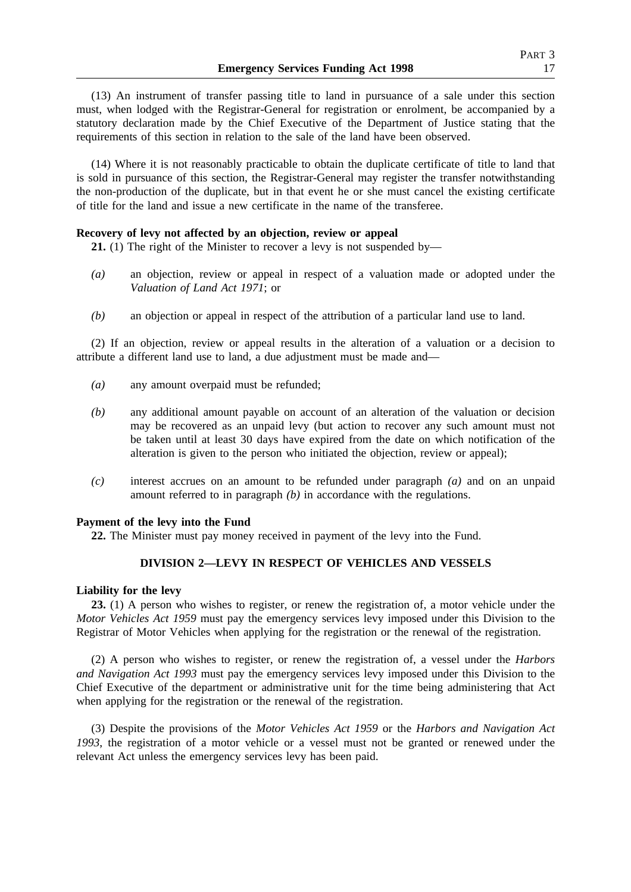(13) An instrument of transfer passing title to land in pursuance of a sale under this section must, when lodged with the Registrar-General for registration or enrolment, be accompanied by a statutory declaration made by the Chief Executive of the Department of Justice stating that the requirements of this section in relation to the sale of the land have been observed.

(14) Where it is not reasonably practicable to obtain the duplicate certificate of title to land that is sold in pursuance of this section, the Registrar-General may register the transfer notwithstanding the non-production of the duplicate, but in that event he or she must cancel the existing certificate of title for the land and issue a new certificate in the name of the transferee.

## **Recovery of levy not affected by an objection, review or appeal**

**21.** (1) The right of the Minister to recover a levy is not suspended by—

- *(a)* an objection, review or appeal in respect of a valuation made or adopted under the *Valuation of Land Act 1971*; or
- *(b)* an objection or appeal in respect of the attribution of a particular land use to land.

(2) If an objection, review or appeal results in the alteration of a valuation or a decision to attribute a different land use to land, a due adjustment must be made and—

- *(a)* any amount overpaid must be refunded;
- *(b)* any additional amount payable on account of an alteration of the valuation or decision may be recovered as an unpaid levy (but action to recover any such amount must not be taken until at least 30 days have expired from the date on which notification of the alteration is given to the person who initiated the objection, review or appeal);
- *(c)* interest accrues on an amount to be refunded under paragraph *(a)* and on an unpaid amount referred to in paragraph *(b)* in accordance with the regulations.

## **Payment of the levy into the Fund**

**22.** The Minister must pay money received in payment of the levy into the Fund.

## **DIVISION 2—LEVY IN RESPECT OF VEHICLES AND VESSELS**

#### **Liability for the levy**

**23.** (1) A person who wishes to register, or renew the registration of, a motor vehicle under the *Motor Vehicles Act 1959* must pay the emergency services levy imposed under this Division to the Registrar of Motor Vehicles when applying for the registration or the renewal of the registration.

(2) A person who wishes to register, or renew the registration of, a vessel under the *Harbors and Navigation Act 1993* must pay the emergency services levy imposed under this Division to the Chief Executive of the department or administrative unit for the time being administering that Act when applying for the registration or the renewal of the registration.

(3) Despite the provisions of the *Motor Vehicles Act 1959* or the *Harbors and Navigation Act 1993*, the registration of a motor vehicle or a vessel must not be granted or renewed under the relevant Act unless the emergency services levy has been paid.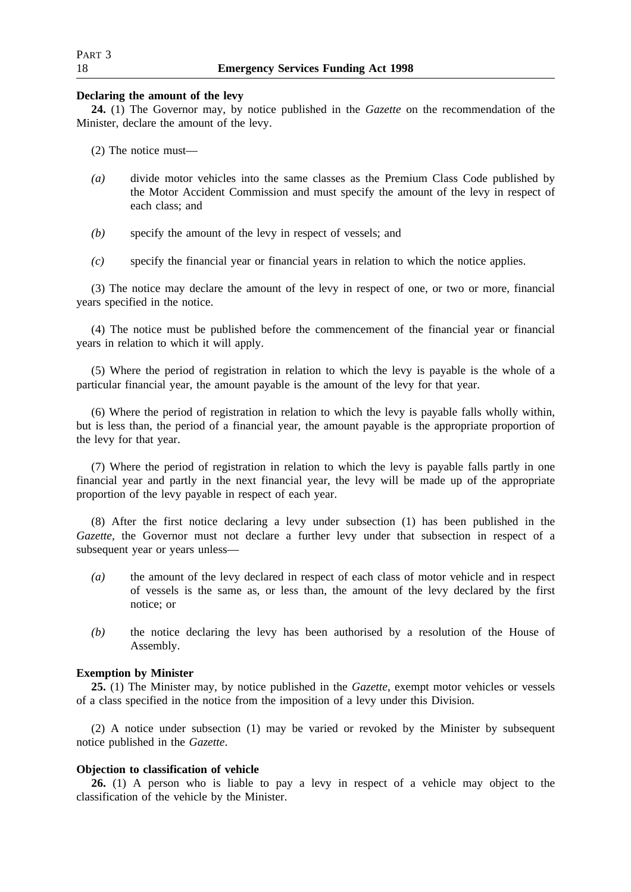## **Declaring the amount of the levy**

**24.** (1) The Governor may, by notice published in the *Gazette* on the recommendation of the Minister, declare the amount of the levy.

(2) The notice must—

- *(a)* divide motor vehicles into the same classes as the Premium Class Code published by the Motor Accident Commission and must specify the amount of the levy in respect of each class; and
- *(b)* specify the amount of the levy in respect of vessels; and
- *(c)* specify the financial year or financial years in relation to which the notice applies.

(3) The notice may declare the amount of the levy in respect of one, or two or more, financial years specified in the notice.

(4) The notice must be published before the commencement of the financial year or financial years in relation to which it will apply.

(5) Where the period of registration in relation to which the levy is payable is the whole of a particular financial year, the amount payable is the amount of the levy for that year.

(6) Where the period of registration in relation to which the levy is payable falls wholly within, but is less than, the period of a financial year, the amount payable is the appropriate proportion of the levy for that year.

(7) Where the period of registration in relation to which the levy is payable falls partly in one financial year and partly in the next financial year, the levy will be made up of the appropriate proportion of the levy payable in respect of each year.

(8) After the first notice declaring a levy under subsection (1) has been published in the *Gazette*, the Governor must not declare a further levy under that subsection in respect of a subsequent year or years unless—

- *(a)* the amount of the levy declared in respect of each class of motor vehicle and in respect of vessels is the same as, or less than, the amount of the levy declared by the first notice; or
- *(b)* the notice declaring the levy has been authorised by a resolution of the House of Assembly.

## **Exemption by Minister**

**25.** (1) The Minister may, by notice published in the *Gazette*, exempt motor vehicles or vessels of a class specified in the notice from the imposition of a levy under this Division.

(2) A notice under subsection (1) may be varied or revoked by the Minister by subsequent notice published in the *Gazette*.

## **Objection to classification of vehicle**

**26.** (1) A person who is liable to pay a levy in respect of a vehicle may object to the classification of the vehicle by the Minister.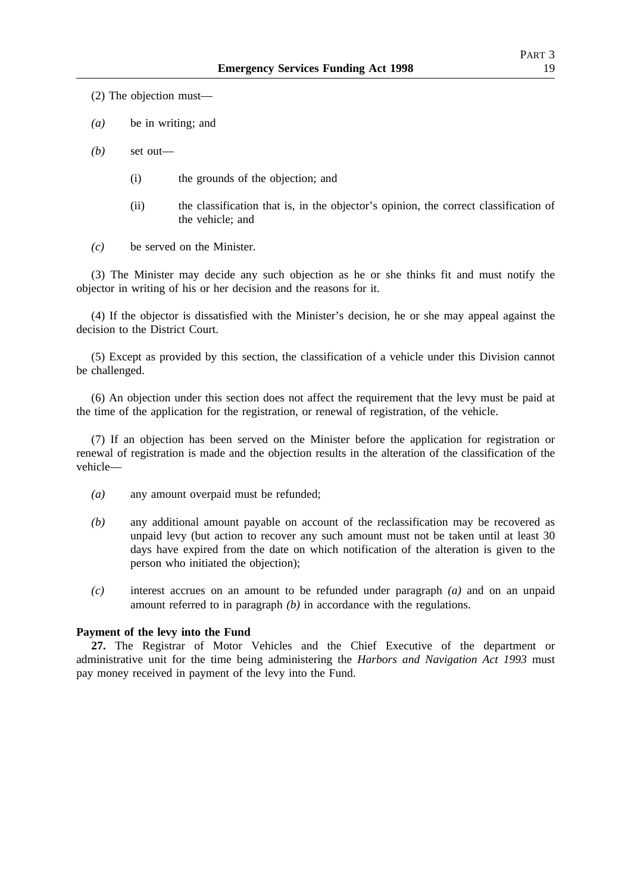(2) The objection must—

*(a)* be in writing; and

*(b)* set out—

- (i) the grounds of the objection; and
- (ii) the classification that is, in the objector's opinion, the correct classification of the vehicle; and
- *(c)* be served on the Minister.

(3) The Minister may decide any such objection as he or she thinks fit and must notify the objector in writing of his or her decision and the reasons for it.

(4) If the objector is dissatisfied with the Minister's decision, he or she may appeal against the decision to the District Court.

(5) Except as provided by this section, the classification of a vehicle under this Division cannot be challenged.

(6) An objection under this section does not affect the requirement that the levy must be paid at the time of the application for the registration, or renewal of registration, of the vehicle.

(7) If an objection has been served on the Minister before the application for registration or renewal of registration is made and the objection results in the alteration of the classification of the vehicle—

- *(a)* any amount overpaid must be refunded;
- *(b)* any additional amount payable on account of the reclassification may be recovered as unpaid levy (but action to recover any such amount must not be taken until at least 30 days have expired from the date on which notification of the alteration is given to the person who initiated the objection);
- *(c)* interest accrues on an amount to be refunded under paragraph *(a)* and on an unpaid amount referred to in paragraph *(b)* in accordance with the regulations.

#### **Payment of the levy into the Fund**

**27.** The Registrar of Motor Vehicles and the Chief Executive of the department or administrative unit for the time being administering the *Harbors and Navigation Act 1993* must pay money received in payment of the levy into the Fund.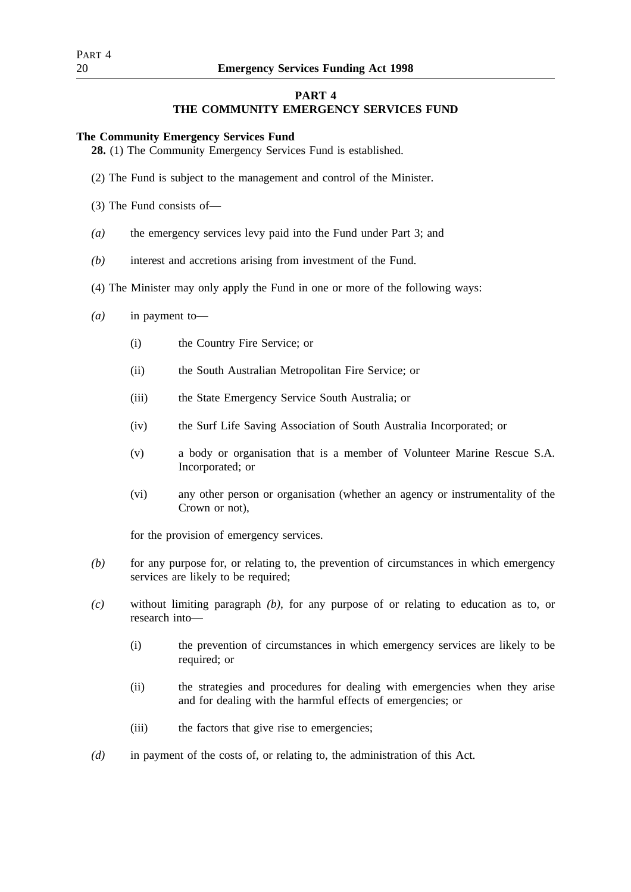## **PART 4**

## **THE COMMUNITY EMERGENCY SERVICES FUND**

## **The Community Emergency Services Fund**

**28.** (1) The Community Emergency Services Fund is established.

- (2) The Fund is subject to the management and control of the Minister.
- (3) The Fund consists of—
- *(a)* the emergency services levy paid into the Fund under Part 3; and
- *(b)* interest and accretions arising from investment of the Fund.
- (4) The Minister may only apply the Fund in one or more of the following ways:
- *(a)* in payment to—
	- (i) the Country Fire Service; or
	- (ii) the South Australian Metropolitan Fire Service; or
	- (iii) the State Emergency Service South Australia; or
	- (iv) the Surf Life Saving Association of South Australia Incorporated; or
	- (v) a body or organisation that is a member of Volunteer Marine Rescue S.A. Incorporated; or
	- (vi) any other person or organisation (whether an agency or instrumentality of the Crown or not),

for the provision of emergency services.

- *(b)* for any purpose for, or relating to, the prevention of circumstances in which emergency services are likely to be required;
- *(c)* without limiting paragraph *(b)*, for any purpose of or relating to education as to, or research into—
	- (i) the prevention of circumstances in which emergency services are likely to be required; or
	- (ii) the strategies and procedures for dealing with emergencies when they arise and for dealing with the harmful effects of emergencies; or
	- (iii) the factors that give rise to emergencies;
- *(d)* in payment of the costs of, or relating to, the administration of this Act.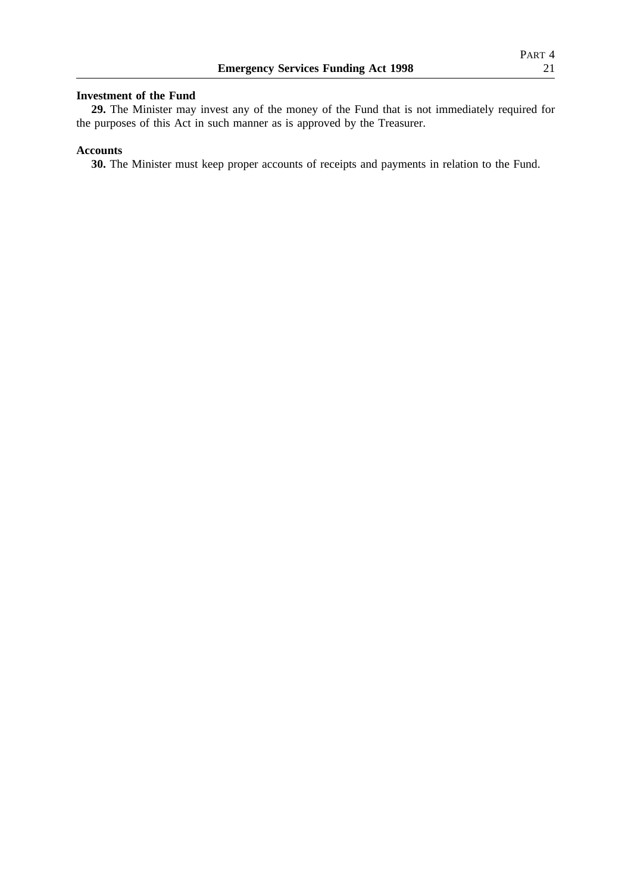## **Investment of the Fund**

**29.** The Minister may invest any of the money of the Fund that is not immediately required for the purposes of this Act in such manner as is approved by the Treasurer.

## **Accounts**

**30.** The Minister must keep proper accounts of receipts and payments in relation to the Fund.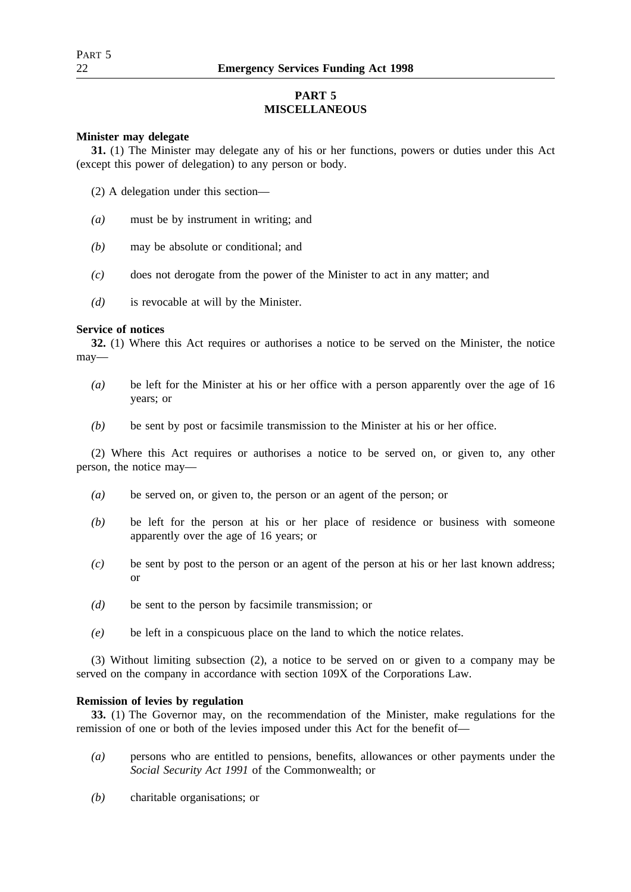# **PART 5 MISCELLANEOUS**

## **Minister may delegate**

**31.** (1) The Minister may delegate any of his or her functions, powers or duties under this Act (except this power of delegation) to any person or body.

- (2) A delegation under this section—
- *(a)* must be by instrument in writing; and
- *(b)* may be absolute or conditional; and
- *(c)* does not derogate from the power of the Minister to act in any matter; and
- *(d)* is revocable at will by the Minister.

## **Service of notices**

**32.** (1) Where this Act requires or authorises a notice to be served on the Minister, the notice may—

- *(a)* be left for the Minister at his or her office with a person apparently over the age of 16 years; or
- *(b)* be sent by post or facsimile transmission to the Minister at his or her office.

(2) Where this Act requires or authorises a notice to be served on, or given to, any other person, the notice may—

- *(a)* be served on, or given to, the person or an agent of the person; or
- *(b)* be left for the person at his or her place of residence or business with someone apparently over the age of 16 years; or
- *(c)* be sent by post to the person or an agent of the person at his or her last known address; or
- *(d)* be sent to the person by facsimile transmission; or
- *(e)* be left in a conspicuous place on the land to which the notice relates.

(3) Without limiting subsection (2), a notice to be served on or given to a company may be served on the company in accordance with section 109X of the Corporations Law.

## **Remission of levies by regulation**

**33.** (1) The Governor may, on the recommendation of the Minister, make regulations for the remission of one or both of the levies imposed under this Act for the benefit of—

- *(a)* persons who are entitled to pensions, benefits, allowances or other payments under the *Social Security Act 1991* of the Commonwealth; or
- *(b)* charitable organisations; or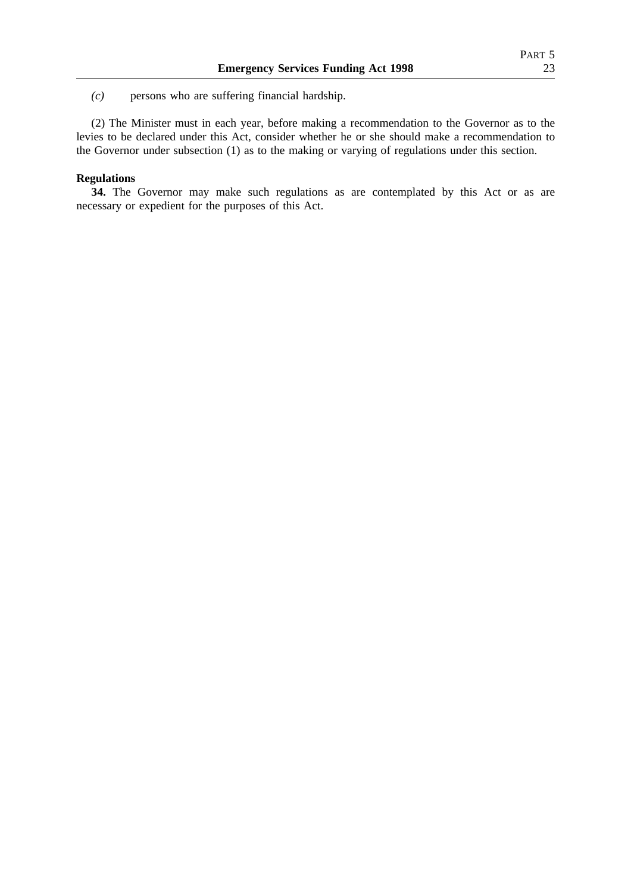*(c)* persons who are suffering financial hardship.

(2) The Minister must in each year, before making a recommendation to the Governor as to the levies to be declared under this Act, consider whether he or she should make a recommendation to the Governor under subsection (1) as to the making or varying of regulations under this section.

## **Regulations**

**34.** The Governor may make such regulations as are contemplated by this Act or as are necessary or expedient for the purposes of this Act.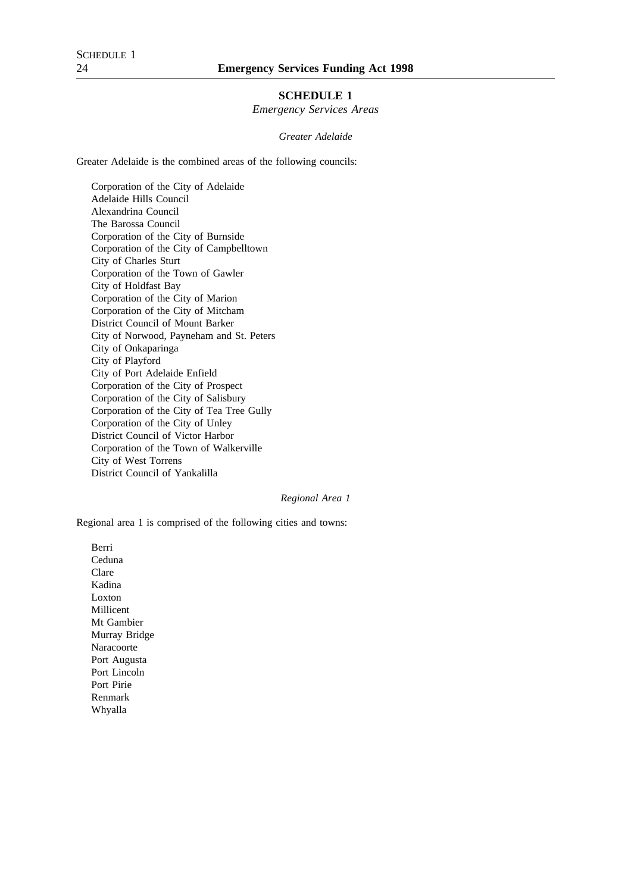## **SCHEDULE 1**

*Emergency Services Areas*

*Greater Adelaide*

Greater Adelaide is the combined areas of the following councils:

Corporation of the City of Adelaide Adelaide Hills Council Alexandrina Council The Barossa Council Corporation of the City of Burnside Corporation of the City of Campbelltown City of Charles Sturt Corporation of the Town of Gawler City of Holdfast Bay Corporation of the City of Marion Corporation of the City of Mitcham District Council of Mount Barker City of Norwood, Payneham and St. Peters City of Onkaparinga City of Playford City of Port Adelaide Enfield Corporation of the City of Prospect Corporation of the City of Salisbury Corporation of the City of Tea Tree Gully Corporation of the City of Unley District Council of Victor Harbor Corporation of the Town of Walkerville City of West Torrens District Council of Yankalilla

### *Regional Area 1*

Regional area 1 is comprised of the following cities and towns:

Berri Ceduna Clare Kadina Loxton Millicent Mt Gambier Murray Bridge Naracoorte Port Augusta Port Lincoln Port Pirie Renmark Whyalla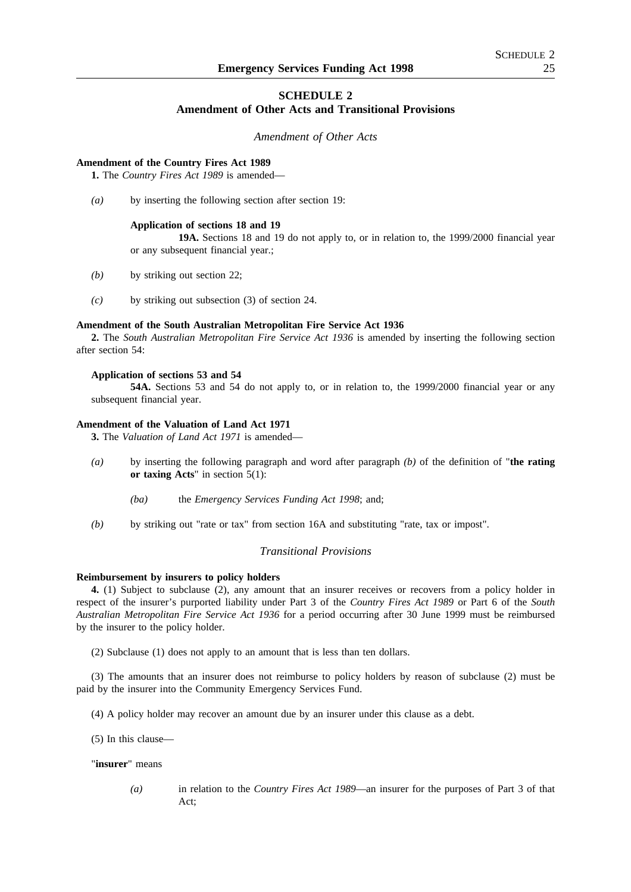## **SCHEDULE 2**

## **Amendment of Other Acts and Transitional Provisions**

*Amendment of Other Acts*

#### **Amendment of the Country Fires Act 1989**

**1.** The *Country Fires Act 1989* is amended—

*(a)* by inserting the following section after section 19:

## **Application of sections 18 and 19**

**19A.** Sections 18 and 19 do not apply to, or in relation to, the 1999/2000 financial year or any subsequent financial year.;

- *(b)* by striking out section 22;
- *(c)* by striking out subsection (3) of section 24.

#### **Amendment of the South Australian Metropolitan Fire Service Act 1936**

**2.** The *South Australian Metropolitan Fire Service Act 1936* is amended by inserting the following section after section 54:

#### **Application of sections 53 and 54**

**54A.** Sections 53 and 54 do not apply to, or in relation to, the 1999/2000 financial year or any subsequent financial year.

#### **Amendment of the Valuation of Land Act 1971**

**3.** The *Valuation of Land Act 1971* is amended—

- *(a)* by inserting the following paragraph and word after paragraph *(b)* of the definition of "**the rating or taxing Acts**" in section 5(1):
	- *(ba)* the *Emergency Services Funding Act 1998*; and;
- *(b)* by striking out "rate or tax" from section 16A and substituting "rate, tax or impost".

## *Transitional Provisions*

## **Reimbursement by insurers to policy holders**

**4.** (1) Subject to subclause (2), any amount that an insurer receives or recovers from a policy holder in respect of the insurer's purported liability under Part 3 of the *Country Fires Act 1989* or Part 6 of the *South Australian Metropolitan Fire Service Act 1936* for a period occurring after 30 June 1999 must be reimbursed by the insurer to the policy holder.

(2) Subclause (1) does not apply to an amount that is less than ten dollars.

(3) The amounts that an insurer does not reimburse to policy holders by reason of subclause (2) must be paid by the insurer into the Community Emergency Services Fund.

(4) A policy holder may recover an amount due by an insurer under this clause as a debt.

(5) In this clause—

#### "**insurer**" means

*(a)* in relation to the *Country Fires Act 1989*—an insurer for the purposes of Part 3 of that Act;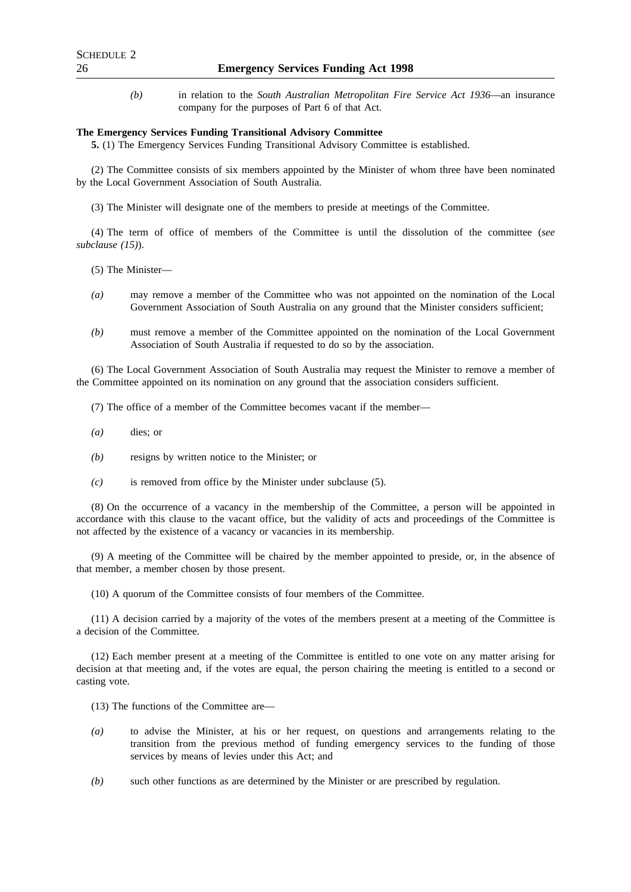*(b)* in relation to the *South Australian Metropolitan Fire Service Act 1936*—an insurance company for the purposes of Part 6 of that Act.

#### **The Emergency Services Funding Transitional Advisory Committee**

**5.** (1) The Emergency Services Funding Transitional Advisory Committee is established.

(2) The Committee consists of six members appointed by the Minister of whom three have been nominated by the Local Government Association of South Australia.

(3) The Minister will designate one of the members to preside at meetings of the Committee.

(4) The term of office of members of the Committee is until the dissolution of the committee (*see subclause (15)*).

(5) The Minister—

- *(a)* may remove a member of the Committee who was not appointed on the nomination of the Local Government Association of South Australia on any ground that the Minister considers sufficient;
- *(b)* must remove a member of the Committee appointed on the nomination of the Local Government Association of South Australia if requested to do so by the association.

(6) The Local Government Association of South Australia may request the Minister to remove a member of the Committee appointed on its nomination on any ground that the association considers sufficient.

(7) The office of a member of the Committee becomes vacant if the member—

- *(a)* dies; or
- *(b)* resigns by written notice to the Minister; or
- *(c)* is removed from office by the Minister under subclause (5).

(8) On the occurrence of a vacancy in the membership of the Committee, a person will be appointed in accordance with this clause to the vacant office, but the validity of acts and proceedings of the Committee is not affected by the existence of a vacancy or vacancies in its membership.

(9) A meeting of the Committee will be chaired by the member appointed to preside, or, in the absence of that member, a member chosen by those present.

(10) A quorum of the Committee consists of four members of the Committee.

(11) A decision carried by a majority of the votes of the members present at a meeting of the Committee is a decision of the Committee.

(12) Each member present at a meeting of the Committee is entitled to one vote on any matter arising for decision at that meeting and, if the votes are equal, the person chairing the meeting is entitled to a second or casting vote.

(13) The functions of the Committee are—

- *(a)* to advise the Minister, at his or her request, on questions and arrangements relating to the transition from the previous method of funding emergency services to the funding of those services by means of levies under this Act; and
- *(b)* such other functions as are determined by the Minister or are prescribed by regulation.